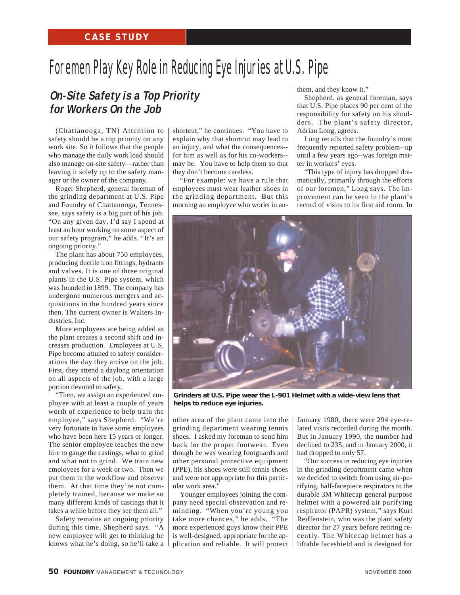## Foremen Play Key Role in Reducing Eye Injuries at U.S. Pipe

## **On-Site Safety is a Top Priority for Workers On the Job**

(Chattanooga, TN) Attention to safety should be a top priority on any work site. So it follows that the people who manage the daily work load should also manage on-site safety—rather than leaving it solely up to the safety manager or the owner of the company.

Roger Shepherd, general foreman of the grinding department at U.S. Pipe and Foundry of Chattanooga, Tennessee, says safety is a big part of his job. "On any given day, I'd say I spend at least an hour working on some aspect of our safety program," he adds. "It's an ongoing priority."

The plant has about 750 employees, producing ductile iron fittings, hydrants and valves. It is one of three original plants in the U.S. Pipe system, which was founded in 1899. The company has undergone numerous mergers and acquisitions in the hundred years since then. The current owner is Walters Industries, Inc.

More employees are being added as the plant creates a second shift and increases production. Employees at U.S. Pipe become attuned to safety considerations the day they arrive on the job. First, they attend a daylong orientation on all aspects of the job, with a large portion devoted to safety.

"Then, we assign an experienced employee with at least a couple of years worth of experience to help train the employee," says Shepherd. "We're very fortunate to have some employees who have been here 15 years or longer. The senior employee teaches the new hire to gauge the castings, what to grind and what not to grind. We train new employees for a week or two. Then we put them in the workflow and observe them. At that time they're not completely trained, because we make so many different kinds of castings that it takes a while before they see them all."

Safety remains an ongoing priority during this time, Shepherd says. "A new employee will get to thinking he knows what he's doing, so he'll take a

shortcut," he continues. "You have to explain why that shortcut may lead to an injury, and what the consequences- for him as well as for his co-workers- may be. You have to help them so that they don't become careless.

"For example: we have a rule that employees must wear leather shoes in the grinding department. But this morning an employee who works in anthem, and they know it."

Shepherd, as general foreman, says that U.S. Pipe places 90 per cent of the responsibility for safety on his shoulders. The plant's safety director, Adrian Long, agrees.

Long recalls that the foundry's most frequently reported safety problem--up until a few years ago--was foreign matter in workers' eyes.

"This type of injury has dropped dramatically, primarily through the efforts of our foremen," Long says. The improvement can be seen in the plant's record of visits to its first aid room. In



*Grinders at U.S. Pipe wear the L-901 Helmet with a wide-view lens that helps to reduce eye injuries.*

other area of the plant came into the grinding department wearing tennis shoes. I asked my foreman to send him back for the proper footwear. Even though he was wearing footguards and other personal protective equipment (PPE), his shoes were still tennis shoes and were not appropriate for this particular work area."

Younger employees joining the company need special observation and reminding. "When you're young you take more chances," he adds. "The more experienced guys know their PPE is well-designed, appropriate for the application and reliable. It will protect

January 1980, there were 294 eye-related visits recorded during the month. But in January 1990, the number had declined to 235, and in January 2000, it had dropped to only 57.

"Our success in reducing eye injuries in the grinding department came when we decided to switch from using air-purifying, half-facepiece respirators to the durable 3M Whitecap general purpose helmet with a powered air purifying respirator (PAPR) system," says Kurt Reiffenstein, who was the plant safety director for 27 years before retiring recently. The Whitecap helmet has a liftable faceshield and is designed for